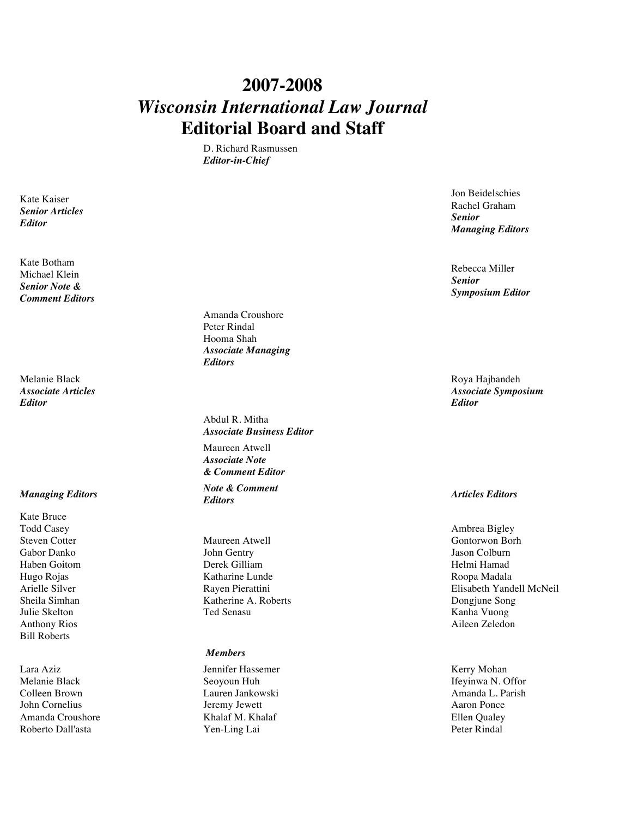## **2007-2008** *Wisconsin International Law Journal* **Editorial Board and Staff**

D. Richard Rasmussen *Editor-in-Chief*

Kate Kaiser *Senior Articles Editor*

Kate Botham Michael Klein *Senior Note & Comment Editors*

Melanie Black *Associate Articles Editor*

Kate Bruce Todd Casey Steven Cotter Gabor Danko Haben Goitom Hugo Rojas Arielle Silver Sheila Simhan Julie Skelton Anthony Rios Bill Roberts

Lara Aziz Melanie Black Colleen Brown John Cornelius Amanda Croushore Roberto Dall'asta

Amanda Croushore Peter Rindal Hooma Shah *Associate Managing Editors*

Abdul R. Mitha *Associate Business Editor*

Maureen Atwell *Associate Note & Comment Editor*

*Managing Editors Note & Comment Editors Articles Editors*

> Maureen Atwell John Gentry Derek Gilliam Katharine Lunde Rayen Pierattini Katherine A. Roberts Ted Senasu

## *Members*

Jennifer Hassemer Seoyoun Huh Lauren Jankowski Jeremy Jewett Khalaf M. Khalaf Yen-Ling Lai

Jon Beidelschies Rachel Graham *Senior Managing Editors*

Rebecca Miller *Senior Symposium Editor*

Roya Hajbandeh *Associate Symposium Editor* 

Ambrea Bigley Gontorwon Borh Jason Colburn Helmi Hamad Roopa Madala Elisabeth Yandell McNeil Dongjune Song Kanha Vuong Aileen Zeledon

Kerry Mohan Ifeyinwa N. Offor Amanda L. Parish Aaron Ponce Ellen Qualey Peter Rindal